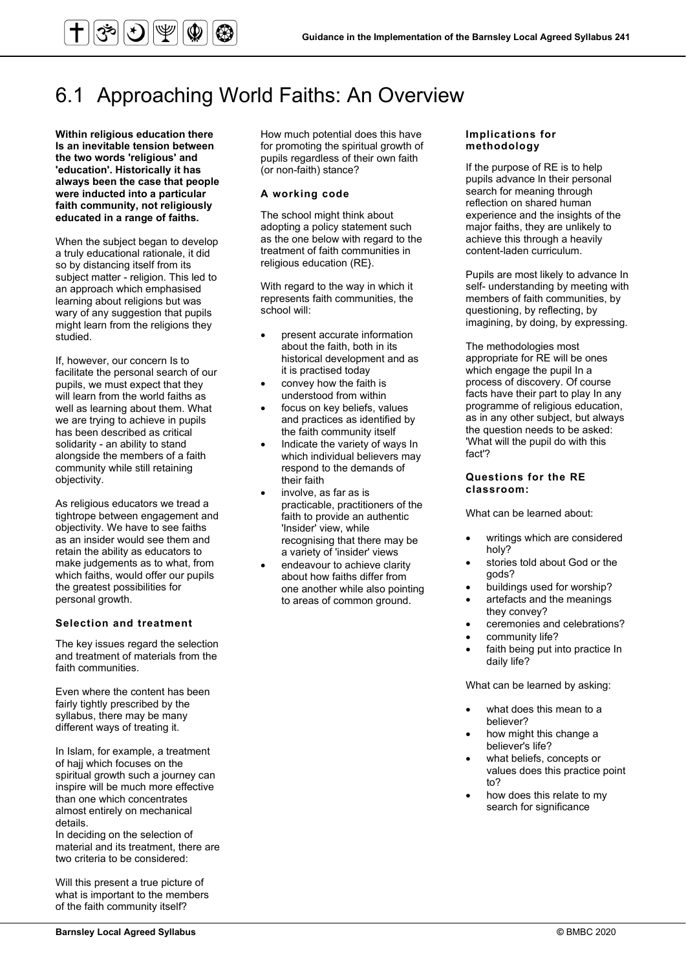

# 6.1 Approaching World Faiths: An Overview

**Within religious education there Is an inevitable tension between the two words 'religious' and 'education'. Historically it has always been the case that people were inducted into a particular faith community, not religiously educated in a range of faiths.**

When the subject began to develop a truly educational rationale, it did so by distancing itself from its subject matter - religion. This led to an approach which emphasised learning about religions but was wary of any suggestion that pupils might learn from the religions they studied.

If, however, our concern Is to facilitate the personal search of our pupils, we must expect that they will learn from the world faiths as well as learning about them. What we are trying to achieve in pupils has been described as critical solidarity - an ability to stand alongside the members of a faith community while still retaining objectivity.

As religious educators we tread a tightrope between engagement and objectivity. We have to see faiths as an insider would see them and retain the ability as educators to make judgements as to what, from which faiths, would offer our pupils the greatest possibilities for personal growth.

#### **Selection and treatment**

The key issues regard the selection and treatment of materials from the faith communities.

Even where the content has been fairly tightly prescribed by the syllabus, there may be many different ways of treating it.

In Islam, for example, a treatment of hajj which focuses on the spiritual growth such a journey can inspire will be much more effective than one which concentrates almost entirely on mechanical details.

In deciding on the selection of material and its treatment, there are two criteria to be considered:

Will this present a true picture of what is important to the members of the faith community itself?

How much potential does this have for promoting the spiritual growth of pupils regardless of their own faith (or non-faith) stance?

### **A working code**

The school might think about adopting a policy statement such as the one below with regard to the treatment of faith communities in religious education (RE}.

With regard to the way in which it represents faith communities, the school will:

- present accurate information about the faith, both in its historical development and as it is practised today
- convey how the faith is understood from within
- focus on key beliefs, values and practices as identified by the faith community itself
- Indicate the variety of ways In which individual believers may respond to the demands of their faith
- involve, as far as is practicable, practitioners of the faith to provide an authentic 'Insider' view, while recognising that there may be a variety of 'insider' views
- endeavour to achieve clarity about how faiths differ from one another while also pointing to areas of common ground.

#### **Implications for methodology**

If the purpose of RE is to help pupils advance ln their personal search for meaning through reflection on shared human experience and the insights of the major faiths, they are unlikely to achieve this through a heavily content-laden curriculum.

Pupils are most likely to advance In self- understanding by meeting with members of faith communities, by questioning, by reflecting, by imagining, by doing, by expressing.

The methodologies most appropriate for RE will be ones which engage the pupil In a process of discovery. Of course facts have their part to play In any programme of religious education, as in any other subject, but always the question needs to be asked: 'What will the pupil do with this fact'?

#### **Questions for the RE classroom:**

What can be learned about:

- writings which are considered holy?
- stories told about God or the gods?
- buildings used for worship?
- artefacts and the meanings
- they convey?
- ceremonies and celebrations?
- community life?
- faith being put into practice In daily life?

What can be learned by asking:

- what does this mean to a believer?
- how might this change a believer's life?
- what beliefs, concepts or values does this practice point to?
- how does this relate to my search for significance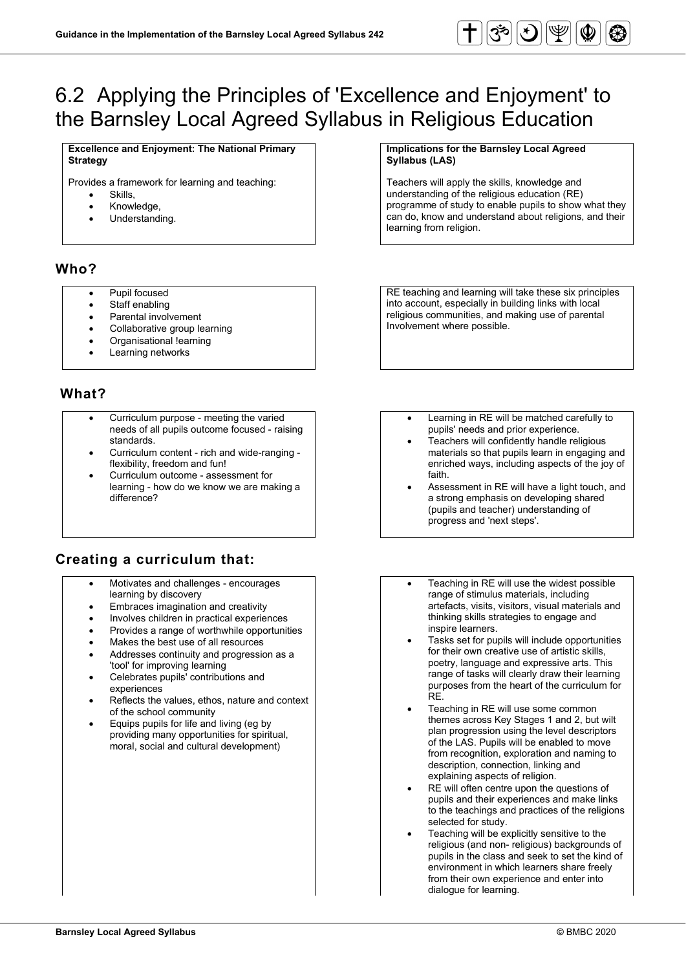

# 6.2 Applying the Principles of 'Excellence and Enjoyment' to the Barnsley Local Agreed Syllabus in Religious Education

**Excellence and Enjoyment: The National Primary Strategy**

Provides a framework for learning and teaching:

- Skills,
- Knowledge,
- Understanding.

# **Who?**

- Pupil focused
- Staff enabling
- Parental involvement
- Collaborative group learning
- Organisational !earning
- Learning networks

# **What?**

- Curriculum purpose meeting the varied needs of all pupils outcome focused - raising standards.
- Curriculum content rich and wide-ranging flexibility, freedom and fun!
- Curriculum outcome assessment for learning - how do we know we are making a difference?

# **Creating a curriculum that:**

- Motivates and challenges encourages learning by discovery
- Embraces imagination and creativity
- Involves children in practical experiences
- Provides a range of worthwhile opportunities
- Makes the best use of all resources
- Addresses continuity and progression as a 'tool' for improving learning
- Celebrates pupils' contributions and experiences
- Reflects the values, ethos, nature and context of the school community
- Equips pupils for life and living (eg by providing many opportunities for spiritual, moral, social and cultural development)

**Implications for the Barnsley Local Agreed Syllabus (LAS)**

Teachers will apply the skills, knowledge and understanding of the religious education (RE) programme of study to enable pupils to show what they can do, know and understand about religions, and their learning from religion.

RE teaching and learning will take these six principles into account, especially in building links with local religious communities, and making use of parental Involvement where possible.

- Learning in RE will be matched carefully to pupils' needs and prior experience.
- Teachers will confidently handle religious materials so that pupils learn in engaging and enriched ways, including aspects of the joy of faith.
- Assessment in RE will have a light touch, and a strong emphasis on developing shared (pupils and teacher) understanding of progress and 'next steps'.
- Teaching in RE will use the widest possible range of stimulus materials, including artefacts, visits, visitors, visual materials and thinking skills strategies to engage and inspire learners.
- Tasks set for pupils will include opportunities for their own creative use of artistic skills, poetry, language and expressive arts. This range of tasks will clearly draw their learning purposes from the heart of the curriculum for RE.
- Teaching in RE will use some common themes across Key Stages 1 and 2, but wilt plan progression using the level descriptors of the LAS. Pupils will be enabled to move from recognition, exploration and naming to description, connection, linking and explaining aspects of religion.
- RE will often centre upon the questions of pupils and their experiences and make links to the teachings and practices of the religions selected for study.
- Teaching will be explicitly sensitive to the religious (and non- religious) backgrounds of pupils in the class and seek to set the kind of environment in which learners share freely from their own experience and enter into dialogue for learning.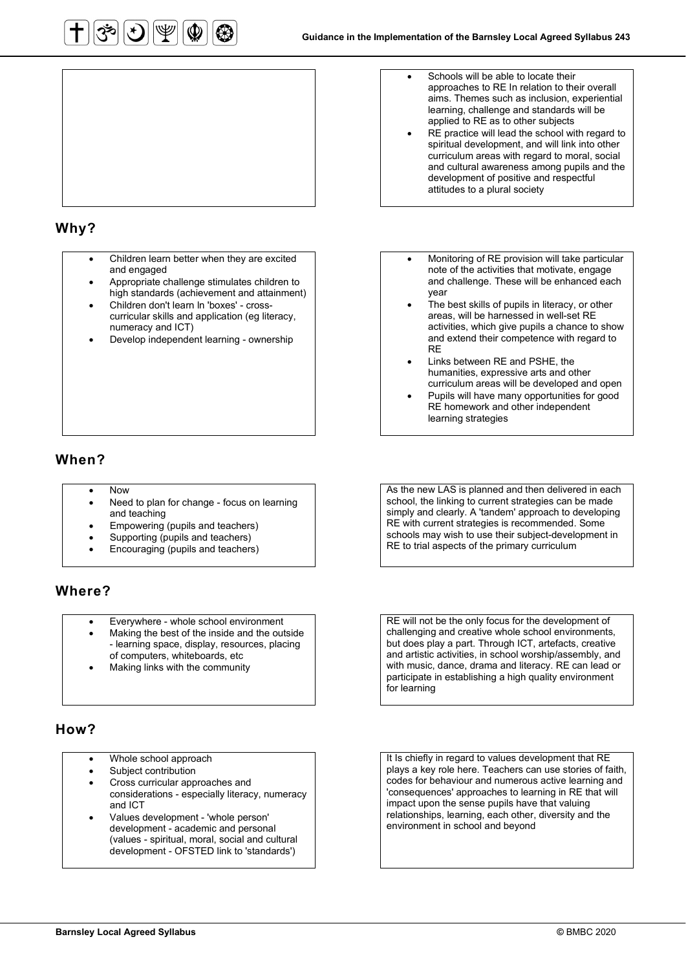



# **Why?**

- Children learn better when they are excited and engaged
- Appropriate challenge stimulates children to high standards (achievement and attainment)
- Children don't learn ln 'boxes' crosscurricular skills and application (eg literacy, numeracy and ICT)
- Develop independent learning ownership

# **When?**

- Now
- Need to plan for change focus on learning and teaching
- Empowering (pupils and teachers)
- Supporting (pupils and teachers)
- Encouraging (pupils and teachers)

# **Where?**

- Everywhere whole school environment
- Making the best of the inside and the outside - learning space, display, resources, placing of computers, whiteboards, etc
- Making links with the community

# **How?**

- Whole school approach
- Subject contribution
- Cross curricular approaches and considerations - especially literacy, numeracy and ICT
- Values development 'whole person' development - academic and personal (values - spiritual, moral, social and cultural development - OFSTED link to 'standards')
- Schools will be able to locate their approaches to RE In relation to their overall aims. Themes such as inclusion, experiential learning, challenge and standards will be applied to RE as to other subjects
- RE practice will lead the school with regard to spiritual development, and will link into other curriculum areas with regard to moral, social and cultural awareness among pupils and the development of positive and respectful attitudes to a plural society
- Monitoring of RE provision will take particular note of the activities that motivate, engage and challenge. These will be enhanced each year
- The best skills of pupils in literacy, or other areas, will be harnessed in well-set RE activities, which give pupils a chance to show and extend their competence with regard to **RE**
- Links between RE and PSHE, the humanities, expressive arts and other curriculum areas will be developed and open
- Pupils will have many opportunities for good RE homework and other independent learning strategies

As the new LAS is planned and then delivered in each school, the linking to current strategies can be made simply and clearly. A 'tandem' approach to developing RE with current strategies is recommended. Some schools may wish to use their subject-development in RE to trial aspects of the primary curriculum

RE will not be the only focus for the development of challenging and creative whole school environments, but does play a part. Through ICT, artefacts, creative and artistic activities, in school worship/assembly, and with music, dance, drama and literacy. RE can lead or participate in establishing a high quality environment for learning

It Is chiefly in regard to values development that RE plays a key role here. Teachers can use stories of faith, codes for behaviour and numerous active learning and 'consequences' approaches to learning in RE that will impact upon the sense pupils have that valuing relationships, learning, each other, diversity and the environment in school and beyond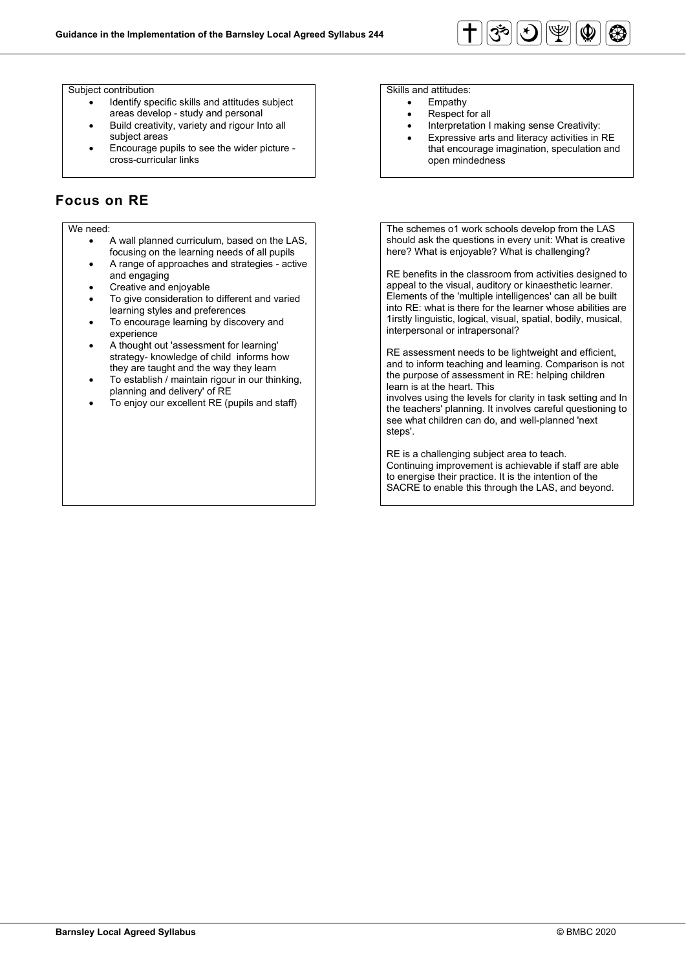

#### Subject contribution

- Identify specific skills and attitudes subject areas develop - study and personal
- Build creativity, variety and rigour Into all subject areas
- Encourage pupils to see the wider picture cross-curricular links

# **Focus on RE**

#### We need:

- A wall planned curriculum, based on the LAS, focusing on the learning needs of all pupils
- A range of approaches and strategies active and engaging
- Creative and enjoyable
- To give consideration to different and varied learning styles and preferences
- To encourage learning by discovery and experience
- A thought out 'assessment for learning' strategy- knowledge of child informs how they are taught and the way they learn
- To establish / maintain rigour in our thinking, planning and delivery' of RE
- To enjoy our excellent RE (pupils and staff)

#### Skills and attitudes:

- **Empathy** 
	- Respect for all
	- Interpretation I making sense Creativity:
	- Expressive arts and literacy activities in RE that encourage imagination, speculation and open mindedness

The schemes o1 work schools develop from the LAS should ask the questions in every unit: What is creative here? What is enjoyable? What is challenging?

RE benefits in the classroom from activities designed to appeal to the visual, auditory or kinaesthetic learner. Elements of the 'multiple intelligences' can all be built into RE: what is there for the learner whose abilities are 1irstly linguistic, logical, visual, spatial, bodily, musical, interpersonal or intrapersonal?

RE assessment needs to be lightweight and efficient, and to inform teaching and learning. Comparison is not the purpose of assessment in RE: helping children learn is at the heart. This

involves using the levels for clarity in task setting and In the teachers' planning. It involves careful questioning to see what children can do, and well-planned 'next steps'.

RE is a challenging subject area to teach. Continuing improvement is achievable if staff are able to energise their practice. It is the intention of the SACRE to enable this through the LAS, and beyond.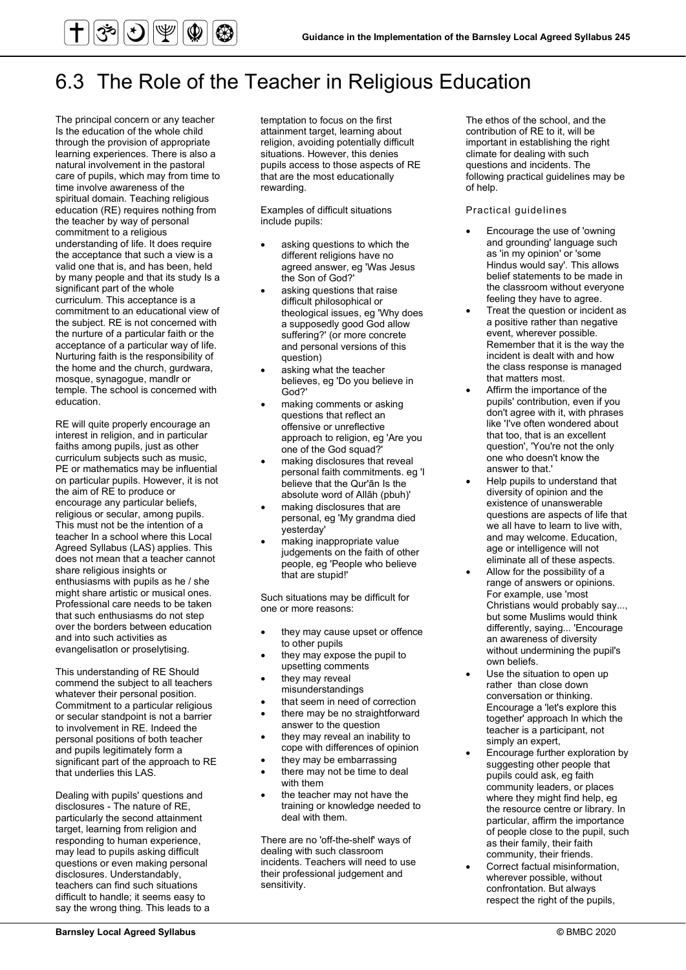

# 6.3 The Role of the Teacher in Religious Education

The principal concern or any teacher Is the education of the whole child through the provision of appropriate learning experiences. There is also a natural involvement in the pastoral care of pupils, which may from time to time involve awareness of the spiritual domain. Teaching religious education (RE) requires nothing from the teacher by way of personal commitment to a religious understanding of life. It does require the acceptance that such a view is a valid one that is, and has been, held by many people and that its study Is a significant part of the whole curriculum. This acceptance is a commitment to an educational view of the subject. RE is not concerned with the nurture of a particular faith or the acceptance of a particular way of life. Nurturing faith is the responsibility of the home and the church, gurdwara, mosque, synagogue, mandlr or temple. The school is concerned with education.

RE will quite properly encourage an interest in religion, and in particular faiths among pupils, just as other curriculum subjects such as music, PE or mathematics may be influential on particular pupils. However, it is not the aim of RE to produce or encourage any particular beliefs, religious or secular, among pupils. This must not be the intention of a teacher In a school where this Local Agreed Syllabus (LAS) applies. This does not mean that a teacher cannot share religious insights or enthusiasms with pupils as he / she might share artistic or musical ones. Professional care needs to be taken that such enthusiasms do not step over the borders between education and into such activities as evangelisatlon or proselytising.

This understanding of RE Should commend the subject to all teachers whatever their personal position. Commitment to a particular religious or secular standpoint is not a barrier to involvement in RE. Indeed the personal positions of both teacher and pupils legitimately form a significant part of the approach to RE that underlies this LAS.

Dealing with pupils' questions and disclosures - The nature of RE, particularly the second attainment target, learning from religion and responding to human experience, may lead to pupils asking difficult questions or even making personal disclosures. Understandably, teachers can find such situations difficult to handle; it seems easy to say the wrong thing. This leads to a temptation to focus on the first attainment target, learning about religion, avoiding potentially difficult situations. However, this denies pupils access to those aspects of RE that are the most educationally rewarding.

Examples of difficult situations include pupils:

- asking questions to which the different religions have no agreed answer, eg 'Was Jesus the Son of God?'
- asking questions that raise difficult philosophical or theological issues, eg 'Why does a supposedly good God allow suffering?' (or more concrete and personal versions of this question)
- asking what the teacher believes, eg 'Do you believe in God?'
- making comments or asking questions that reflect an offensive or unreflective approach to religion, eg 'Are you one of the God squad?'
- making disclosures that reveal personal faith commitments. eg 'I believe that the Qur'ān Is the absolute word of Allāh (pbuh)'
- making disclosures that are personal, eg 'My grandma died yesterday'
- making inappropriate value judgements on the faith of other people, eg 'People who believe that are stupid!'

Such situations may be difficult for one or more reasons:

- they may cause upset or offence to other pupils
- they may expose the pupil to upsetting comments
- they may reveal
- misunderstandings that seem in need of correction •
- there may be no straightforward answer to the question •
- they may reveal an inability to cope with diff erences of opinion •
- they may be embarrassing
- there may not be time to deal with them
- the teacher may not have the training or kn owledge needed to deal with the m.

There are no 'off-t he-shelf' ways of dealing with such classroom incidents. Teache rs will need to use their professional j udgement and sensitivity.

The ethos of the school, and the contribution of RE to it, will be important in establishing the right climate for dealing with such questions and incidents. The following practical guidelines may be of help.

#### Practical guidelines

- Encourage the use of 'owning and grounding' language such as 'in my opinion' or 'some Hindus would say'. This allows belief statements to be made in the classroom without everyone feeling they have to agree.
- Treat the question or incident as a positive rather than negative event, wherever possible. Remember that it is the way the incident is dealt with and how the class response is managed that matters most.
- Affirm the importance of the pupils' contribution, even if you don't agree with it, with phrases like 'I've often wondered about that too, that is an excellent question', 'You're not the only one who doesn't know the answer to that.'
- Help pupils to understand that diversity of opinion and the existence of unanswerable questions are aspects of life that we all have to learn to live with, and may welcome. Education, age or intelligence will not eliminate all of these aspects.
- Allow for the possibility of a range of answers or opinions. For example, use 'most Christians would probably say..., but some Muslims would think differently, saying... 'Encourage an awareness of diversity without undermining the pupil's own beliefs.
- Use the situation to open up rather than close down conversation or thinking. Encourage a 'let's explore this together' approach In which the teacher is a participant, not simply an expert,
- Encourage further exploration by suggesting other people that pupils could ask, eg faith community leaders, or places where they might find help, eg the resource centre or library. In particular, affirm the importance of people close to the pupil, such as their family, their faith community, their friends.
- Correct factual misinformation, wherever possible, without confrontation. But always respect the right of the pupils,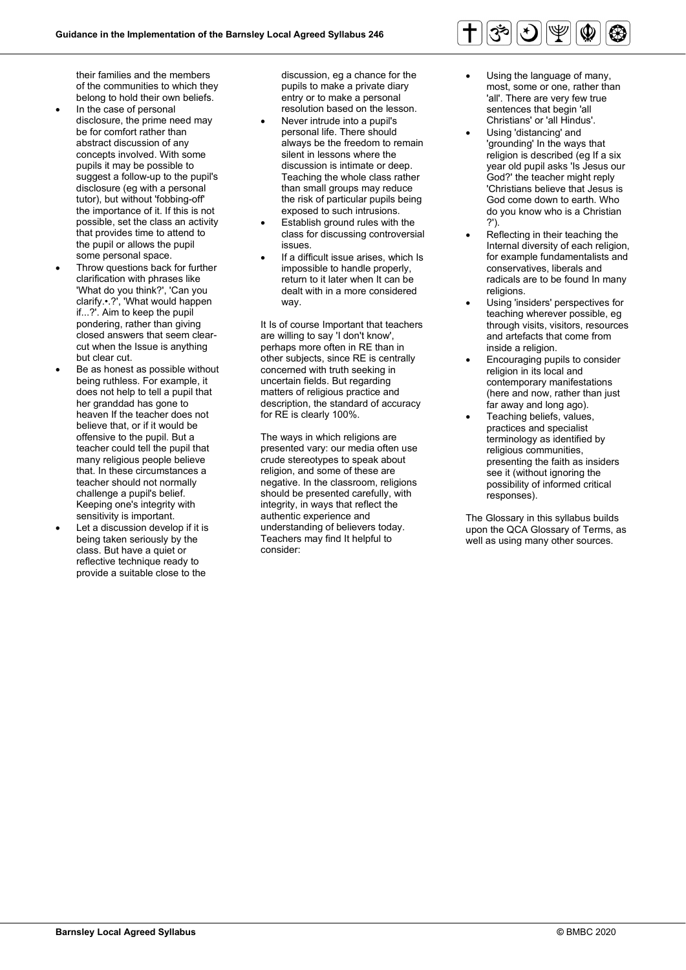their families and the members of the communities to which they belong to hold their own beliefs.

- In the case of personal disclosure, the prime need may be for comfort rather than abstract discussion of any concepts involved. With some pupils it may be possible to suggest a follow-up to the pupil's disclosure (eg with a personal tutor), but without 'fobbing-off' the importance of it. If this is not possible, set the class an activity that provides time to attend to the pupil or allows the pupil some personal space.
- Throw questions back for further clarification with phrases like 'What do you think?', 'Can you clarify.•.?', 'What would happen if...?'. Aim to keep the pupil pondering, rather than giving closed answers that seem clearcut when the Issue is anything but clear cut.
- Be as honest as possible without being ruthless. For example, it does not help to tell a pupil that her granddad has gone to heaven If the teacher does not believe that, or if it would be offensive to the pupil. But a teacher could tell the pupil that many religious people believe that. In these circumstances a teacher should not normally challenge a pupil's belief. Keeping one's integrity with sensitivity is important.
- Let a discussion develop if it is being taken seriously by the class. But have a quiet or reflective technique ready to provide a suitable close to the

discussion, eg a chance for the pupils to make a private diary entry or to make a personal resolution based on the lesson.

- Never intrude into a pupil's personal life. There should always be the freedom to remain silent in lessons where the discussion is intimate or deep. Teaching the whole class rather than small groups may reduce the risk of particular pupils being exposed to such intrusions.
- Establish ground rules with the class for discussing controversial issues.
- If a difficult issue arises, which Is impossible to handle properly, return to it later when It can be dealt with in a more considered way.

It Is of course Important that teachers are willing to say 'I don't know', perhaps more often in RE than in other subjects, since RE is centrally concerned with truth seeking in uncertain fields. But regarding matters of religious practice and description, the standard of accuracy for RE is clearly 100%.

The ways in which religions are presented vary: our media often use crude stereotypes to speak about religion, and some of these are negative. In the classroom, religions should be presented carefully, with integrity, in ways that reflect the authentic experience and understanding of believers today. Teachers may find It helpful to consider:



- Using the language of many, most, some or one, rather than 'all'. There are very few true sentences that begin 'all Christians' or 'all Hindus'.
- Using 'distancing' and 'grounding' In the ways that religion is described (eg If a six year old pupil asks 'Is Jesus our God?' the teacher might reply 'Christians believe that Jesus is God come down to earth. Who do you know who is a Christian ?').
- Reflecting in their teaching the Internal diversity of each religion, for example fundamentalists and conservatives, liberals and radicals are to be found In many religions.
- Using 'insiders' perspectives for teaching wherever possible, eg through visits, visitors, resources and artefacts that come from inside a religion.
- Encouraging pupils to consider religion in its local and contemporary manifestations (here and now, rather than just far away and long ago).
- Teaching beliefs, values, practices and specialist terminology as identified by religious communities, presenting the faith as insiders see it (without ignoring the possibility of informed critical responses).

The Glossary in this syllabus builds upon the QCA Glossary of Terms, as well as using many other sources.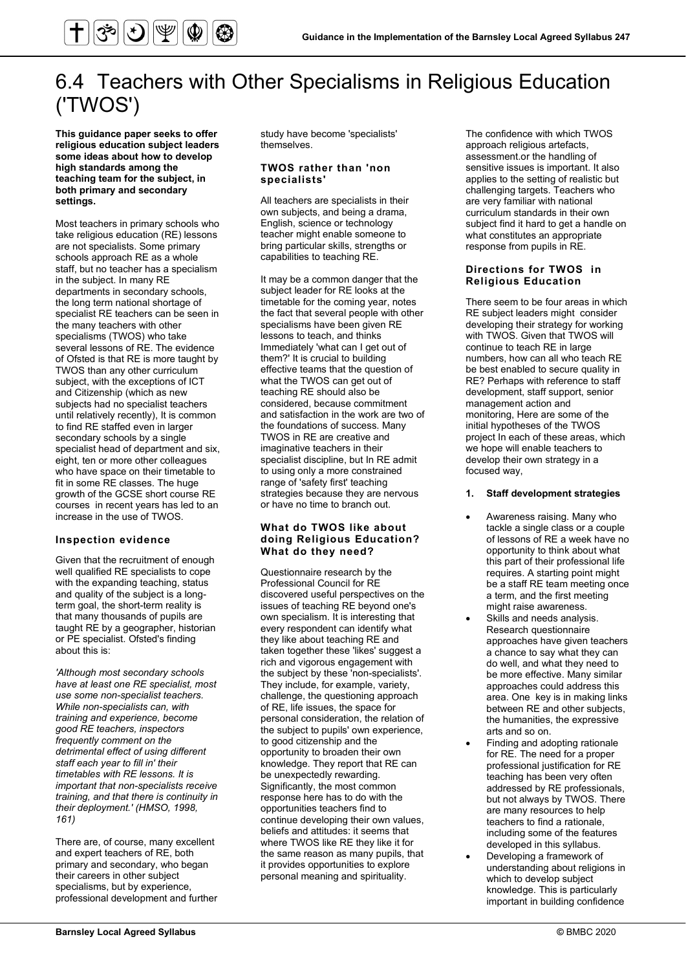

# 6.4 Teachers with Other Specialisms in Religious Education ('TWOS')

**This guidance paper seeks to offer religious education subject leaders some ideas about how to develop high standards among the teaching team for the subject, in both primary and secondary settings.**

Most teachers in primary schools who take religious education (RE) lessons are not specialists. Some primary schools approach RE as a whole staff, but no teacher has a specialism in the subject. In many RE departments in secondary schools, the long term national shortage of specialist RE teachers can be seen in the many teachers with other specialisms (TWOS) who take several lessons of RE. The evidence of Ofsted is that RE is more taught by TWOS than any other curriculum subject, with the exceptions of ICT and Citizenship (which as new subjects had no specialist teachers until relatively recently), It is common to find RE staffed even in larger secondary schools by a single specialist head of department and six, eight, ten or more other colleagues who have space on their timetable to fit in some RE classes. The huge growth of the GCSE short course RE courses in recent years has led to an increase in the use of TWOS.

### **Inspection evidence**

Given that the recruitment of enough well qualified RE specialists to cope with the expanding teaching, status and quality of the subject is a longterm goal, the short-term reality is that many thousands of pupils are taught RE by a geographer, historian or PE specialist. Ofsted's finding about this is:

*'Although most secondary schools have at least one RE specialist, most use some non-specialist teachers. While non-specialists can, with training and experience, become good RE teachers, inspectors frequently comment on the detrimental effect of using different staff each year to fill in' their timetables with RE lessons. It is important that non-specialists receive training, and that there is continuity in their deployment.' (HMSO, 1998, 161)*

There are, of course, many excellent and expert teachers of RE, both primary and secondary, who began their careers in other subject specialisms, but by experience, professional development and further study have become 'specialists' themselves.

#### **TWOS rather than 'non specialists'**

All teachers are specialists in their own subjects, and being a drama, English, science or technology teacher might enable someone to bring particular skills, strengths or capabilities to teaching RE.

It may be a common danger that the subject leader for RE looks at the timetable for the coming year, notes the fact that several people with other specialisms have been given RE lessons to teach, and thinks Immediately 'what can I get out of them?' It is crucial to building effective teams that the question of what the TWOS can get out of teaching RE should also be considered, because commitment and satisfaction in the work are two of the foundations of success. Many TWOS in RE are creative and imaginative teachers in their specialist discipline, but In RE admit to using only a more constrained range of 'safety first' teaching strategies because they are nervous or have no time to branch out.

#### **What do TWOS like about doing Religious Education? What do they need?**

Questionnaire research by the Professional Council for RE discovered useful perspectives on the issues of teaching RE beyond one's own specialism. It is interesting that every respondent can identify what they like about teaching RE and taken together these 'likes' suggest a rich and vigorous engagement with the subject by these 'non-specialists'. They include, for example, variety, challenge, the questioning approach of RE, life issues, the space for personal consideration, the relation of the subject to pupils' own experience, to good citizenship and the opportunity to broaden their own knowledge. They report that RE can be unexpectedly rewarding. Significantly, the most common response here has to do with the opportunities teachers find to continue developing their own values, beliefs and attitudes: it seems that where TWOS like RE they like it for the same reason as many pupils, that it provides opportunities to explore personal meaning and spirituality.

The confidence with which TWOS approach religious artefacts, assessment.or the handling of sensitive issues is important. It also applies to the setting of realistic but challenging targets. Teachers who are very familiar with national curriculum standards in their own subject find it hard to get a handle on what constitutes an appropriate response from pupils in RE.

#### **Directions for TWOS in Religious Education**

There seem to be four areas in which RE subject leaders might consider developing their strategy for working with TWOS. Given that TWOS will continue to teach RE in large numbers, how can all who teach RE be best enabled to secure quality in RE? Perhaps with reference to staff development, staff support, senior management action and monitoring, Here are some of the initial hypotheses of the TWOS project In each of these areas, which we hope will enable teachers to develop their own strategy in a focused way,

#### **1. Staff development strategies**

- Awareness raising. Many who tackle a single class or a couple of lessons of RE a week have no opportunity to think about what this part of their professional life requires. A starting point might be a staff RE team meeting once a term, and the first meeting might raise awareness.
- Skills and needs analysis. Research questionnaire approaches have given teachers a chance to say what they can do well, and what they need to be more effective. Many similar approaches could address this area. One key is in making links between RE and other subjects, the humanities, the expressive arts and so on.
- Finding and adopting rationale for RE. The need for a proper professional justification for RE teaching has been very often addressed by RE professionals, but not always by TWOS. There are many resources to help teachers to find a rationale, including some of the features developed in this syllabus.
- Developing a framework of understanding about religions in which to develop subject knowledge. This is particularly important in building confidence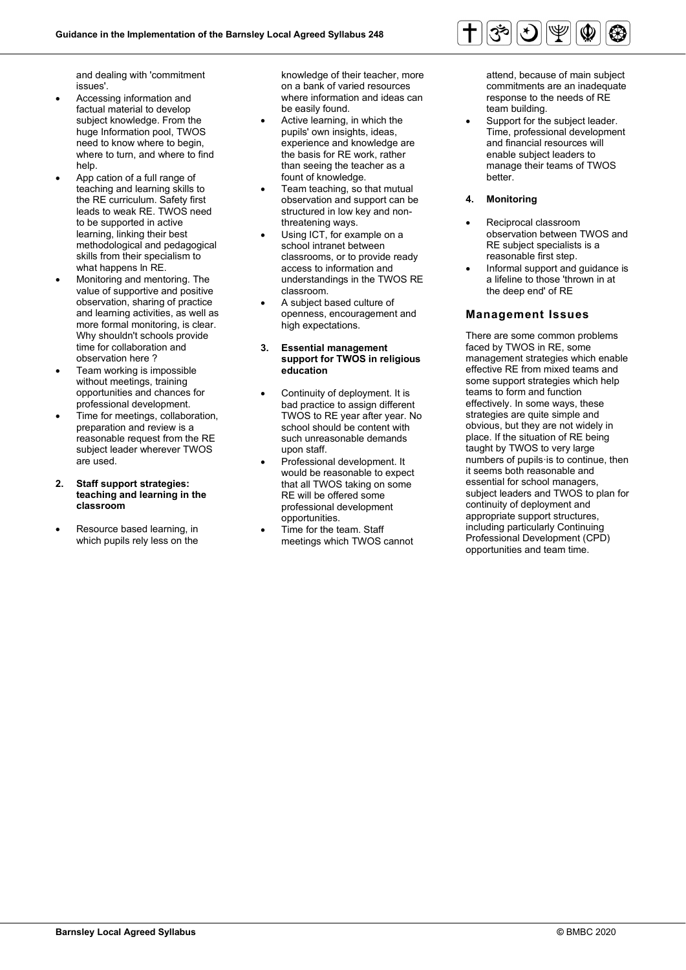

and dealing with 'commitment issues'.

- Accessing information and factual material to develop subject knowledge. From the huge Information pool, TWOS need to know where to begin, where to turn, and where to find help.
- App cation of a full range of teaching and learning skills to the RE curriculum. Safety first leads to weak RE. TWOS need to be supported in active learning, linking their best methodological and pedagogical skills from their specialism to what happens ln RE.
- Monitoring and mentoring. The value of supportive and positive observation, sharing of practice and learning activities, as well as more formal monitoring, is clear. Why shouldn't schools provide time for collaboration and observation here ?
- Team working is impossible without meetings, training opportunities and chances for professional development.
- Time for meetings, collaboration, preparation and review is a reasonable request from the RE subject leader wherever TWOS are used.

#### **2. Staff support strategies: teaching and learning in the classroom**

Resource based learning, in which pupils rely less on the

knowledge of their teacher, more on a bank of varied resources where information and ideas can be easily found.

- Active learning, in which the pupils' own insights, ideas, experience and knowledge are the basis for RE work, rather than seeing the teacher as a fount of knowledge.
- Team teaching, so that mutual observation and support can be structured in low key and nonthreatening ways.
- Using ICT, for example on a school intranet between classrooms, or to provide ready access to information and understandings in the TWOS RE classroom.
- A subject based culture of openness, encouragement and high expectations.

#### **3. Essential management support for TWOS in religious education**

- Continuity of deployment. It is bad practice to assign different TWOS to RE year after year. No school should be content with such unreasonable demands upon staff.
- Professional development. It would be reasonable to expect that all TWOS taking on some RE will be offered some professional development opportunities.
- Time for the team. Staff meetings which TWOS cannot

attend, because of main subject commitments are an inadequate response to the needs of RE team building.

Support for the subject leader. Time, professional development and financial resources will enable subject leaders to manage their teams of TWOS better.

#### **4. Monitoring**

- Reciprocal classroom observation between TWOS and RE subject specialists is a reasonable first step.
- Informal support and guidance is a lifeline to those 'thrown in at the deep end' of RE

### **Management Issues**

There are some common problems faced by TWOS in RE, some management strategies which enable effective RE from mixed teams and some support strategies which help teams to form and function effectively. In some ways, these strategies are quite simple and obvious, but they are not widely in place. If the situation of RE being taught by TWOS to very large numbers of pupils·is to continue, then it seems both reasonable and essential for school managers, subject leaders and TWOS to plan for continuity of deployment and appropriate support structures, including particularly Continuing Professional Development (CPD) opportunities and team time.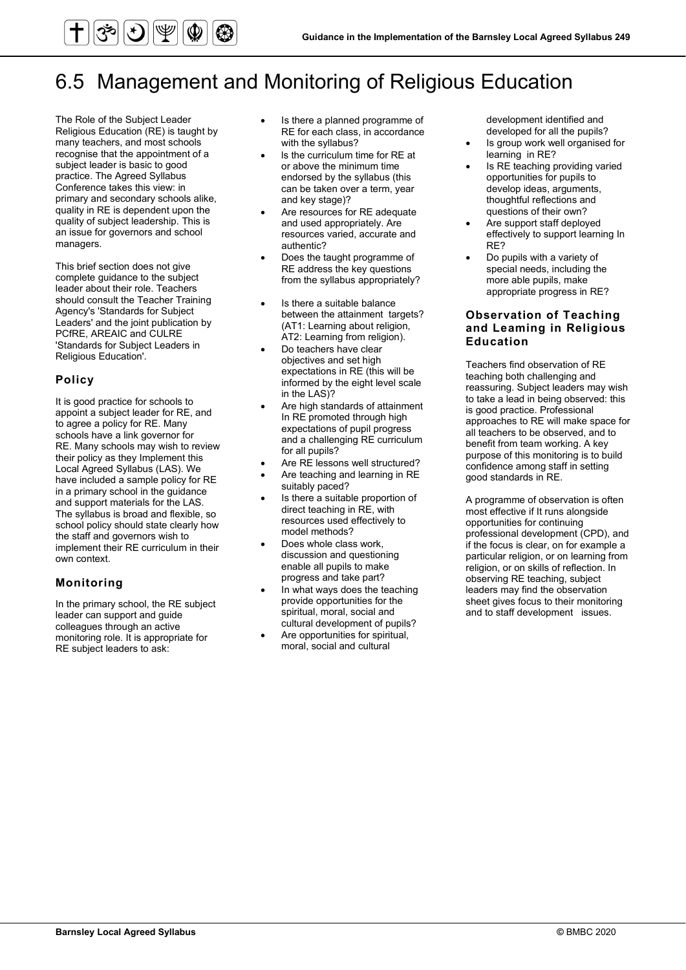

# 6.5 Management and Monitoring of Religious Education

The Role of the Subject Leader Religious Education (RE) is taught by many teachers, and most schools recognise that the appointment of a subject leader is basic to good practice. The Agreed Syllabus Conference takes this view: in primary and secondary schools alike, quality in RE is dependent upon the quality of subject leadership. This is an issue for governors and school managers.

This brief section does not give complete guidance to the subject leader about their role. Teachers should consult the Teacher Training Agency's 'Standards for Subject Leaders' and the joint publication by PCfRE, AREAIC and CULRE 'Standards for Subject Leaders in Religious Education'.

## **Policy**

It is good practice for schools to appoint a subject leader for RE, and to agree a policy for RE. Many schools have a link governor for RE. Many schools may wish to review their policy as they Implement this Local Agreed Syllabus (LAS). We have included a sample policy for RE in a primary school in the guidance and support materials for the LAS. The syllabus is broad and flexible, so school policy should state clearly how the staff and governors wish to implement their RE curriculum in their own context.

# **Monitoring**

In the primary school, the RE subject leader can support and guide colleagues through an active monitoring role. It is appropriate for RE subject leaders to ask:

- Is there a planned programme of RE for each class, in accordance with the syllabus?
- Is the curriculum time for RE at or above the minimum time endorsed by the syllabus (this can be taken over a term, year and key stage)?
- Are resources for RE adequate and used appropriately. Are resources varied, accurate and authentic?
- Does the taught programme of RE address the key questions from the syllabus appropriately?
- Is there a suitable balance between the attainment targets? (AT1: Learning about religion, AT2: Learning from religion).
- Do teachers have clear objectives and set high expectations in RE (this will be informed by the eight level scale in the LAS)?
- Are high standards of attainment In RE promoted through high expectations of pupil progress and a challenging RE curriculum for all pupils?
- Are RE lessons well structured?
- Are teaching and learning in RE suitably paced?
- Is there a suitable proportion of direct teaching in RE, with resources used effectively to model methods?
- Does whole class work, discussion and questioning enable all pupils to make progress and take part?
- In what ways does the teaching provide opportunities for the spiritual, moral, social and cultural development of pupils?
- Are opportunities for spiritual, moral, social and cultural

development identified and developed for all the pupils?

- Is group work well organised for learning in RE?
- Is RE teaching providing varied opportunities for pupils to develop ideas, arguments, thoughtful reflections and questions of their own?
- Are support staff deployed effectively to support learning In RE?
- Do pupils with a variety of special needs, including the more able pupils, make appropriate progress in RE?

### **Observation of Teaching and Leaming in Religious Education**

Teachers find observation of RE teaching both challenging and reassuring. Subject leaders may wish to take a lead in being observed: this is good practice. Professional approaches to RE will make space for all teachers to be observed, and to benefit from team working. A key purpose of this monitoring is to build confidence among staff in setting good standards in RE.

A programme of observation is often most effective if It runs alongside opportunities for continuing professional development (CPD), and if the focus is clear, on for example a particular religion, or on learning from religion, or on skills of reflection. In observing RE teaching, subject leaders may find the observation sheet gives focus to their monitoring and to staff development issues.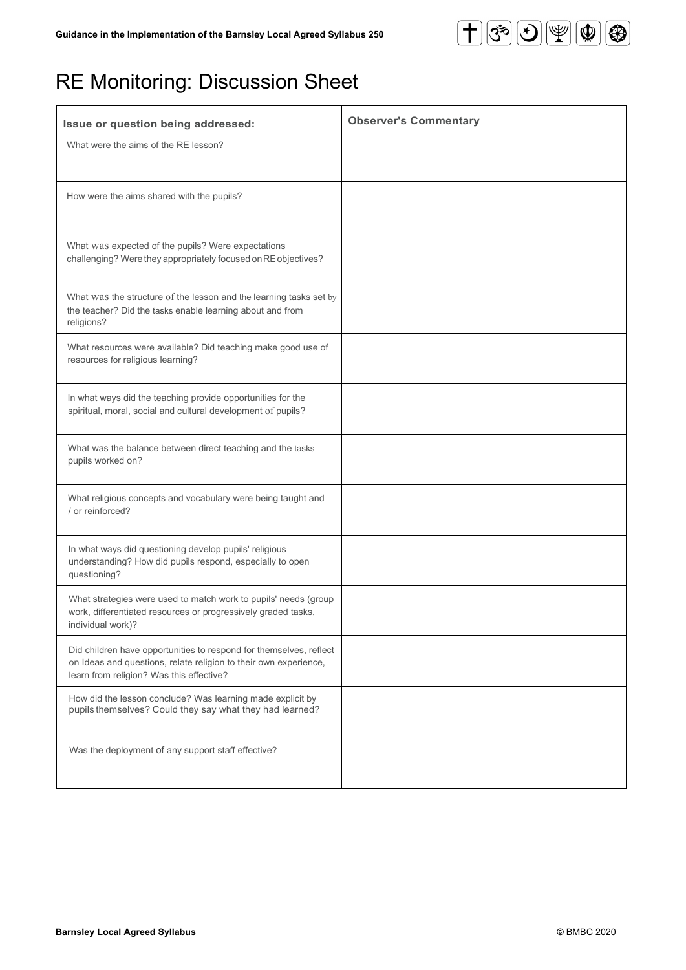

# RE Monitoring: Discussion Sheet

| Issue or question being addressed:                                                                                                                                                 | <b>Observer's Commentary</b> |
|------------------------------------------------------------------------------------------------------------------------------------------------------------------------------------|------------------------------|
| What were the aims of the RE lesson?                                                                                                                                               |                              |
| How were the aims shared with the pupils?                                                                                                                                          |                              |
| What was expected of the pupils? Were expectations<br>challenging? Were they appropriately focused on RE objectives?                                                               |                              |
| What was the structure of the lesson and the learning tasks set by<br>the teacher? Did the tasks enable learning about and from<br>religions?                                      |                              |
| What resources were available? Did teaching make good use of<br>resources for religious learning?                                                                                  |                              |
| In what ways did the teaching provide opportunities for the<br>spiritual, moral, social and cultural development of pupils?                                                        |                              |
| What was the balance between direct teaching and the tasks<br>pupils worked on?                                                                                                    |                              |
| What religious concepts and vocabulary were being taught and<br>/ or reinforced?                                                                                                   |                              |
| In what ways did questioning develop pupils' religious<br>understanding? How did pupils respond, especially to open<br>questioning?                                                |                              |
| What strategies were used to match work to pupils' needs (group<br>work, differentiated resources or progressively graded tasks,<br>individual work)?                              |                              |
| Did children have opportunities to respond for themselves, reflect<br>on Ideas and questions, relate religion to their own experience,<br>learn from religion? Was this effective? |                              |
| How did the lesson conclude? Was learning made explicit by<br>pupils themselves? Could they say what they had learned?                                                             |                              |
| Was the deployment of any support staff effective?                                                                                                                                 |                              |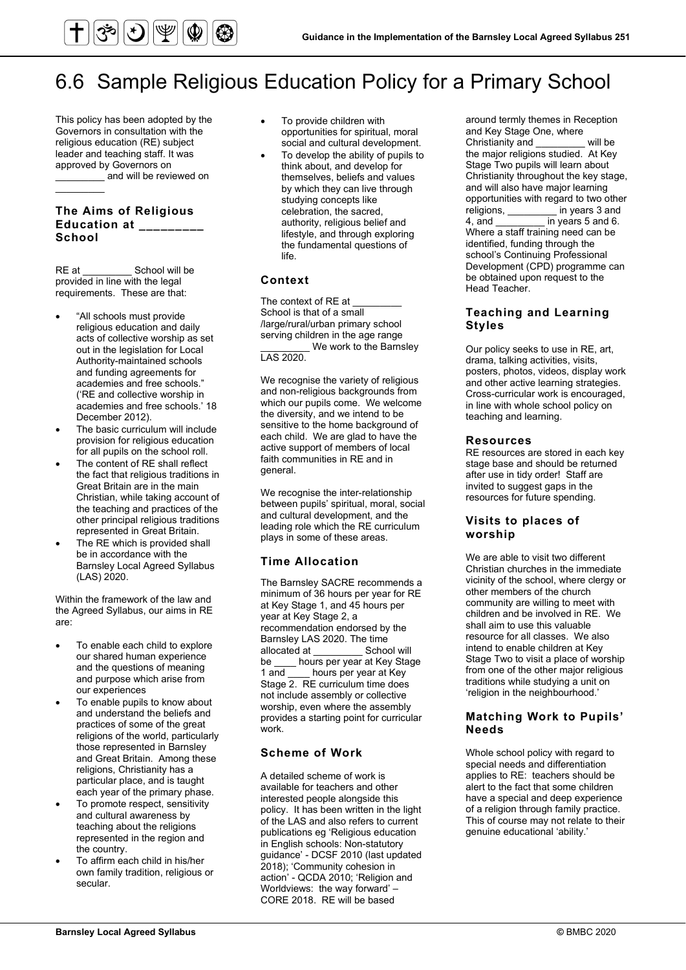

# 6.6 Sample Religious Education Policy for a Primary School

This policy has been adopted by the Governors in consultation with the religious education (RE) subject leader and teaching staff. It was approved by Governors on and will be reviewed on

## **The Aims of Religious Education at \_\_\_\_\_\_\_\_\_ School**

 $\overline{\phantom{a}}$ 

RE at \_\_\_\_\_\_\_\_\_ School will be provided in line with the legal requirements. These are that:

- "All schools must provide religious education and daily acts of collective worship as set out in the legislation for Local Authority-maintained schools and funding agreements for academies and free schools." ('RE and collective worship in academies and free schools.' 18 December 2012).
- The basic curriculum will include provision for religious education for all pupils on the school roll.
- The content of RF shall reflect the fact that religious traditions in Great Britain are in the main Christian, while taking account of the teaching and practices of the other principal religious traditions represented in Great Britain.
- The RE which is provided shall be in accordance with the Barnsley Local Agreed Syllabus (LAS) 2020.

Within the framework of the law and the Agreed Syllabus, our aims in RE are:

- To enable each child to explore our shared human experience and the questions of meaning and purpose which arise from our experiences
- To enable pupils to know about and understand the beliefs and practices of some of the great religions of the world, particularly those represented in Barnsley and Great Britain. Among these religions, Christianity has a particular place, and is taught each year of the primary phase.
- To promote respect, sensitivity and cultural awareness by teaching about the religions represented in the region and the country.
- To affirm each child in his/her own family tradition, religious or secular.
- To provide children with opportunities for spiritual, moral social and cultural development.
- To develop the ability of pupils to think about, and develop for themselves, beliefs and values by which they can live through studying concepts like celebration, the sacred, authority, religious belief and lifestyle, and through exploring the fundamental questions of life.

# **Context**

The context of RE at School is that of a small /large/rural/urban primary school serving children in the age range \_\_\_\_\_\_\_\_\_ We work to the Barnsley LAS 2020.

We recognise the variety of religious and non-religious backgrounds from which our pupils come. We welcome the diversity, and we intend to be sensitive to the home background of each child. We are glad to have the active support of members of local faith communities in RE and in general.

We recognise the inter-relationship between pupils' spiritual, moral, social and cultural development, and the leading role which the RE curriculum plays in some of these areas.

## **Time Allocation**

The Barnsley SACRE recommends a minimum of 36 hours per year for RE at Key Stage 1, and 45 hours per year at Key Stage 2, a recommendation endorsed by the Barnsley LAS 2020. The time allocated at be \_\_\_\_ hours per year at Key Stage<br>1 and bours per year at Key hours per year at Key Stage 2. RE curriculum time does not include assembly or collective worship, even where the assembly provides a starting point for curricular work.

## **Scheme of Work**

A detailed scheme of work is available for teachers and other interested people alongside this policy. It has been written in the light of the LAS and also refers to current publications eg 'Religious education in English schools: Non-statutory guidance' - DCSF 2010 (last updated 2018); 'Community cohesion in action' - QCDA 2010; 'Religion and Worldviews: the way forward' – CORE 2018. RE will be based

around termly themes in Reception and Key Stage One, where<br>Christianity and \_\_\_\_\_\_\_\_\_\_ Christianity and \_\_\_\_\_\_\_\_\_ will be the major religions studied. At Key Stage Two pupils will learn about Christianity throughout the key stage, and will also have major learning opportunities with regard to two other<br>religions, \_\_\_\_\_\_\_\_\_\_\_ in years 3 and religions, \_\_\_\_\_\_\_\_\_\_\_ in years 3 and<br>4. and \_\_\_\_\_\_\_\_\_ in years 5 and 6.  $\frac{1}{\pi}$  years 5 and 6. Where a staff training need can be identified, funding through the school's Continuing Professional Development (CPD) programme can be obtained upon request to the Head Teacher.

## **Teaching and Learning Styles**

Our policy seeks to use in RE, art, drama, talking activities, visits, posters, photos, videos, display work and other active learning strategies. Cross-curricular work is encouraged, in line with whole school policy on teaching and learning.

### **Resources**

RE resources are stored in each key stage base and should be returned after use in tidy order! Staff are invited to suggest gaps in the resources for future spending.

## **Visits to places of worship**

We are able to visit two different Christian churches in the immediate vicinity of the school, where clergy or other members of the church community are willing to meet with children and be involved in RE. We shall aim to use this valuable resource for all classes. We also intend to enable children at Key Stage Two to visit a place of worship from one of the other major religious traditions while studying a unit on 'religion in the neighbourhood.'

## **Matching Work to Pupils' Needs**

Whole school policy with regard to special needs and differentiation applies to RE: teachers should be alert to the fact that some children have a special and deep experience of a religion through family practice. This of course may not relate to their genuine educational 'ability.'